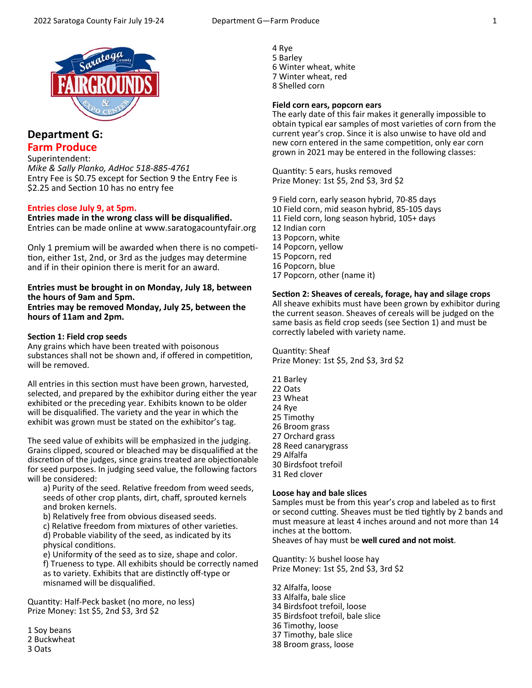

## **Department G: Farm Produce**

# Superintendent:

*Mike & Sally Planko, AdHoc 518‐885‐4761*  Entry Fee is \$0.75 except for Section 9 the Entry Fee is \$2.25 and Section 10 has no entry fee

### **Entries close July 9, at 5pm.**

**Entries made in the wrong class will be disqualified.**  Entries can be made online at www.saratogacountyfair.org

Only 1 premium will be awarded when there is no competition, either 1st, 2nd, or 3rd as the judges may determine and if in their opinion there is merit for an award.

#### **Entries must be brought in on Monday, July 18, between the hours of 9am and 5pm. Entries may be removed Monday, July 25, between the**

**hours of 11am and 2pm.** 

### **Section 1: Field crop seeds**

Any grains which have been treated with poisonous substances shall not be shown and, if offered in competition, will be removed.

All entries in this section must have been grown, harvested, selected, and prepared by the exhibitor during either the year exhibited or the preceding year. Exhibits known to be older will be disqualified. The variety and the year in which the exhibit was grown must be stated on the exhibitor's tag.

The seed value of exhibits will be emphasized in the judging. Grains clipped, scoured or bleached may be disqualified at the discretion of the judges, since grains treated are objectionable for seed purposes. In judging seed value, the following factors will be considered:

a) Purity of the seed. Relative freedom from weed seeds, seeds of other crop plants, dirt, chaff, sprouted kernels and broken kernels.

b) Relatively free from obvious diseased seeds.

c) Relative freedom from mixtures of other varieties. d) Probable viability of the seed, as indicated by its physical conditions.

 e) Uniformity of the seed as to size, shape and color. f) Trueness to type. All exhibits should be correctly named as to variety. Exhibits that are distinctly off-type or misnamed will be disqualified.

QuanƟty: Half‐Peck basket (no more, no less) Prize Money: 1st \$5, 2nd \$3, 3rd \$2

1 Soy beans 2 Buckwheat

3 Oats

4 Rye 5 Barley 6 Winter wheat, white 7 Winter wheat, red 8 Shelled corn

### **Field corn ears, popcorn ears**

The early date of this fair makes it generally impossible to obtain typical ear samples of most varieties of corn from the current year's crop. Since it is also unwise to have old and new corn entered in the same competition, only ear corn grown in 2021 may be entered in the following classes:

Quantity: 5 ears, husks removed Prize Money: 1st \$5, 2nd \$3, 3rd \$2

9 Field corn, early season hybrid, 70‐85 days 10 Field corn, mid season hybrid, 85‐105 days 11 Field corn, long season hybrid, 105+ days 12 Indian corn 13 Popcorn, white 14 Popcorn, yellow 15 Popcorn, red 16 Popcorn, blue 17 Popcorn, other (name it)

### **SecƟon 2: Sheaves of cereals, forage, hay and silage crops**

All sheave exhibits must have been grown by exhibitor during the current season. Sheaves of cereals will be judged on the same basis as field crop seeds (see Section 1) and must be correctly labeled with variety name.

Quantity: Sheaf Prize Money: 1st \$5, 2nd \$3, 3rd \$2

21 Barley 22 Oats 23 Wheat 24 Rye 25 Timothy 26 Broom grass 27 Orchard grass 28 Reed canarygrass 29 Alfalfa 30 Birdsfoot trefoil 31 Red clover

### **Loose hay and bale slices**

Samples must be from this year's crop and labeled as to first or second cutting. Sheaves must be tied tightly by 2 bands and must measure at least 4 inches around and not more than 14 inches at the bottom.

Sheaves of hay must be **well cured and not moist**.

Quantity: 1/2 bushel loose hay Prize Money: 1st \$5, 2nd \$3, 3rd \$2

32 Alfalfa, loose 33 Alfalfa, bale slice 34 Birdsfoot trefoil, loose 35 Birdsfoot trefoil, bale slice 36 Timothy, loose 37 Timothy, bale slice 38 Broom grass, loose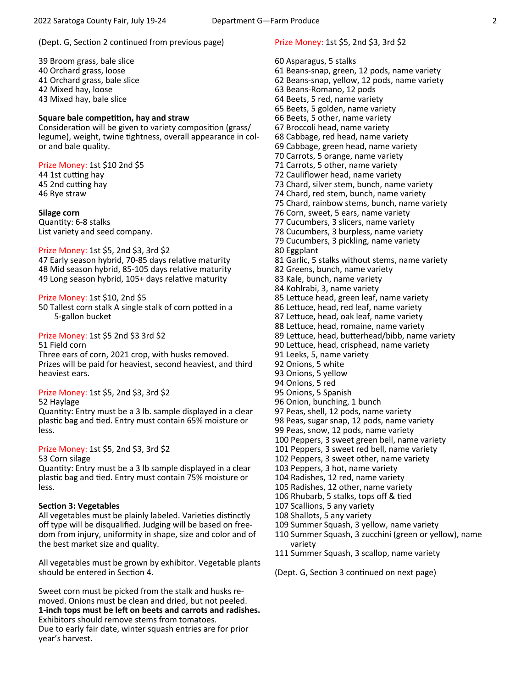#### (Dept. G, Section 2 continued from previous page)

39 Broom grass, bale slice 40 Orchard grass, loose 41 Orchard grass, bale slice 42 Mixed hay, loose 43 Mixed hay, bale slice

#### **Square bale compeƟƟon, hay and straw**

Consideration will be given to variety composition (grass/ legume), weight, twine tightness, overall appearance in color and bale quality.

#### Prize Money: 1st \$10 2nd \$5

44 1st cutting hay 45 2nd cutting hay 46 Rye straw

#### **Silage corn**

Quantity: 6-8 stalks List variety and seed company.

#### Prize Money: 1st \$5, 2nd \$3, 3rd \$2

47 Early season hybrid, 70-85 days relative maturity 48 Mid season hybrid, 85-105 days relative maturity 49 Long season hybrid, 105+ days relative maturity

#### Prize Money: 1st \$10, 2nd \$5

50 Tallest corn stalk A single stalk of corn potted in a 5‐gallon bucket

#### Prize Money: 1st \$5 2nd \$3 3rd \$2

51 Field corn

Three ears of corn, 2021 crop, with husks removed. Prizes will be paid for heaviest, second heaviest, and third heaviest ears.

#### Prize Money: 1st \$5, 2nd \$3, 3rd \$2

#### 52 Haylage

Quantity: Entry must be a 3 lb. sample displayed in a clear plastic bag and tied. Entry must contain 65% moisture or less.

#### Prize Money: 1st \$5, 2nd \$3, 3rd \$2

#### 53 Corn silage

Quantity: Entry must be a 3 lb sample displayed in a clear plastic bag and tied. Entry must contain 75% moisture or less.

#### **Section 3: Vegetables**

All vegetables must be plainly labeled. Varieties distinctly off type will be disqualified. Judging will be based on free‐ dom from injury, uniformity in shape, size and color and of the best market size and quality.

All vegetables must be grown by exhibitor. Vegetable plants should be entered in Section 4.

Sweet corn must be picked from the stalk and husks re‐ moved. Onions must be clean and dried, but not peeled. 1-inch tops must be left on beets and carrots and radishes. Exhibitors should remove stems from tomatoes. Due to early fair date, winter squash entries are for prior year's harvest.

#### Prize Money: 1st \$5, 2nd \$3, 3rd \$2

60 Asparagus, 5 stalks 61 Beans‐snap, green, 12 pods, name variety 62 Beans‐snap, yellow, 12 pods, name variety 63 Beans‐Romano, 12 pods 64 Beets, 5 red, name variety 65 Beets, 5 golden, name variety 66 Beets, 5 other, name variety 67 Broccoli head, name variety 68 Cabbage, red head, name variety 69 Cabbage, green head, name variety 70 Carrots, 5 orange, name variety 71 Carrots, 5 other, name variety 72 Cauliflower head, name variety 73 Chard, silver stem, bunch, name variety 74 Chard, red stem, bunch, name variety 75 Chard, rainbow stems, bunch, name variety 76 Corn, sweet, 5 ears, name variety 77 Cucumbers, 3 slicers, name variety 78 Cucumbers, 3 burpless, name variety 79 Cucumbers, 3 pickling, name variety 80 Eggplant 81 Garlic, 5 stalks without stems, name variety 82 Greens, bunch, name variety 83 Kale, bunch, name variety 84 Kohlrabi, 3, name variety 85 Lettuce head, green leaf, name variety 86 Lettuce, head, red leaf, name variety 87 Lettuce, head, oak leaf, name variety 88 Lettuce, head, romaine, name variety 89 Lettuce, head, butterhead/bibb, name variety 90 Lettuce, head, crisphead, name variety 91 Leeks, 5, name variety 92 Onions, 5 white 93 Onions, 5 yellow 94 Onions, 5 red 95 Onions, 5 Spanish 96 Onion, bunching, 1 bunch 97 Peas, shell, 12 pods, name variety 98 Peas, sugar snap, 12 pods, name variety 99 Peas, snow, 12 pods, name variety 100 Peppers, 3 sweet green bell, name variety 101 Peppers, 3 sweet red bell, name variety 102 Peppers, 3 sweet other, name variety 103 Peppers, 3 hot, name variety 104 Radishes, 12 red, name variety 105 Radishes, 12 other, name variety 106 Rhubarb, 5 stalks, tops off & tied 107 Scallions, 5 any variety 108 Shallots, 5 any variety 109 Summer Squash, 3 yellow, name variety 110 Summer Squash, 3 zucchini (green or yellow), name variety 111 Summer Squash, 3 scallop, name variety (Dept. G, Section 3 continued on next page)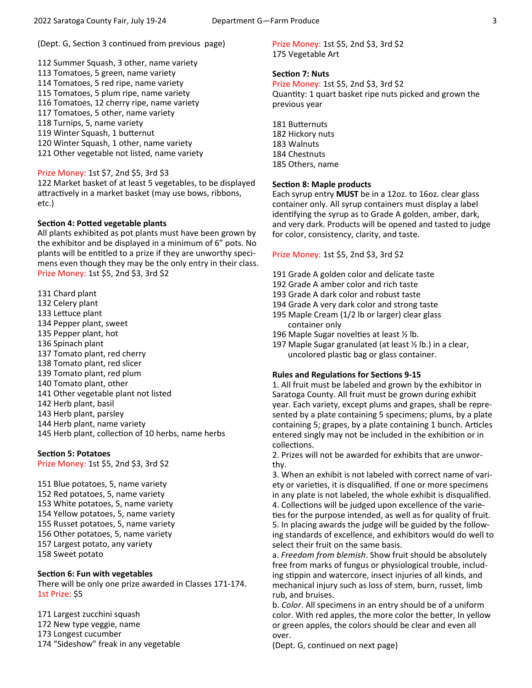(Dept. G, Section 3 continued from previous page)

112 Summer Squash, 3 other, name variety 113 Tomatoes, 5 green, name variety 114 Tomatoes, 5 red ripe, name variety 115 Tomatoes, 5 plum ripe, name variety 116 Tomatoes, 12 cherry ripe, name variety 117 Tomatoes, 5 other, name variety 118 Turnips, 5, name variety 119 Winter Squash, 1 butternut 120 Winter Squash, 1 other, name variety 121 Other vegetable not listed, name variety

### Prize Money: 1st \$7, 2nd \$5, 3rd \$3

122 Market basket of at least 5 vegetables, to be displayed attractively in a market basket (may use bows, ribbons, etc.)

### **Section 4: Potted vegetable plants**

All plants exhibited as pot plants must have been grown by the exhibitor and be displayed in a minimum of 6" pots. No plants will be entitled to a prize if they are unworthy specimens even though they may be the only entry in their class. Prize Money: 1st \$5, 2nd \$3, 3rd \$2

131 Chard plant 132 Celery plant 133 Lettuce plant 134 Pepper plant, sweet 135 Pepper plant, hot 136 Spinach plant 137 Tomato plant, red cherry 138 Tomato plant, red slicer 139 Tomato plant, red plum 140 Tomato plant, other 141 Other vegetable plant not listed 142 Herb plant, basil 143 Herb plant, parsley 144 Herb plant, name variety 145 Herb plant, collection of 10 herbs, name herbs

### **Section 5: Potatoes**

Prize Money: 1st \$5, 2nd \$3, 3rd \$2

151 Blue potatoes, 5, name variety 152 Red potatoes, 5, name variety 153 White potatoes, 5, name variety 154 Yellow potatoes, 5, name variety 155 Russet potatoes, 5, name variety 156 Other potatoes, 5, name variety 157 Largest potato, any variety 158 Sweet potato

#### **Section 6: Fun with vegetables**

There will be only one prize awarded in Classes 171‐174. 1st Prize: \$5

171 Largest zucchini squash 172 New type veggie, name 173 Longest cucumber 174 "Sideshow" freak in any vegetable Prize Money: 1st \$5, 2nd \$3, 3rd \$2 175 Vegetable Art

#### **Section 7: Nuts**

Prize Money: 1st \$5, 2nd \$3, 3rd \$2 Quantity: 1 quart basket ripe nuts picked and grown the previous year

181 Butternuts 182 Hickory nuts 183 Walnuts 184 Chestnuts 185 Others, name

### **Section 8: Maple products**

Each syrup entry **MUST** be in a 12oz. to 16oz. clear glass container only. All syrup containers must display a label identifying the syrup as to Grade A golden, amber, dark, and very dark. Products will be opened and tasted to judge for color, consistency, clarity, and taste.

#### Prize Money: 1st \$5, 2nd \$3, 3rd \$2

- 191 Grade A golden color and delicate taste
- 192 Grade A amber color and rich taste
- 193 Grade A dark color and robust taste
- 194 Grade A very dark color and strong taste
- 195 Maple Cream (1/2 lb or larger) clear glass container only
- 196 Maple Sugar novelties at least  $\frac{1}{2}$  lb.
- 197 Maple Sugar granulated (at least ½ lb.) in a clear, uncolored plastic bag or glass container.

#### **Rules and Regulations for Sections 9-15**

1. All fruit must be labeled and grown by the exhibitor in Saratoga County. All fruit must be grown during exhibit year. Each variety, except plums and grapes, shall be repre‐ sented by a plate containing 5 specimens; plums, by a plate containing 5; grapes, by a plate containing 1 bunch. Articles entered singly may not be included in the exhibition or in collections.

2. Prizes will not be awarded for exhibits that are unwor‐ thy.

3. When an exhibit is not labeled with correct name of vari‐ ety or varieties, it is disqualified. If one or more specimens in any plate is not labeled, the whole exhibit is disqualified. 4. Collections will be judged upon excellence of the varieties for the purpose intended, as well as for quality of fruit. 5. In placing awards the judge will be guided by the follow‐ ing standards of excellence, and exhibitors would do well to select their fruit on the same basis.

a. *Freedom from blemish*. Show fruit should be absolutely free from marks of fungus or physiological trouble, includ‐ ing stippin and watercore, insect injuries of all kinds, and mechanical injury such as loss of stem, burn, russet, limb rub, and bruises.

b. *Color*. All specimens in an entry should be of a uniform color. With red apples, the more color the better, In yellow or green apples, the colors should be clear and even all over.

(Dept. G, continued on next page)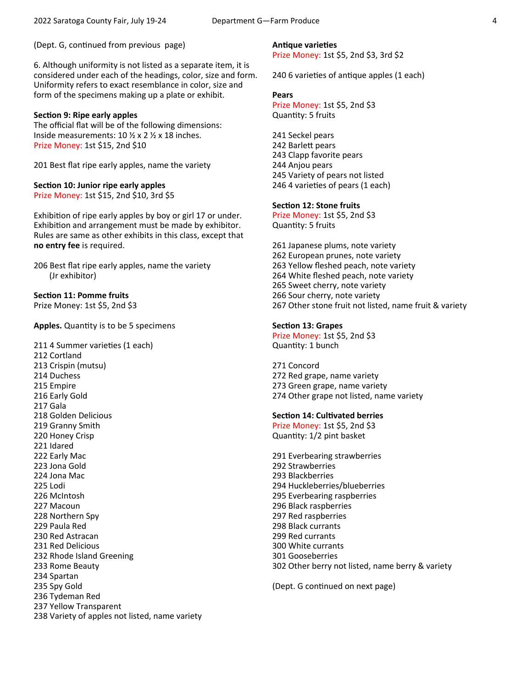(Dept. G, continued from previous page)

6. Although uniformity is not listed as a separate item, it is considered under each of the headings, color, size and form. Uniformity refers to exact resemblance in color, size and form of the specimens making up a plate or exhibit.

#### **Section 9: Ripe early apples**

The official flat will be of the following dimensions: Inside measurements: 10 ½ x 2 ½ x 18 inches. Prize Money: 1st \$15, 2nd \$10

201 Best flat ripe early apples, name the variety

**Section 10: Junior ripe early apples** Prize Money: 1st \$15, 2nd \$10, 3rd \$5

Exhibition of ripe early apples by boy or girl 17 or under. Exhibition and arrangement must be made by exhibitor. Rules are same as other exhibits in this class, except that **no entry fee** is required.

206 Best flat ripe early apples, name the variety (Jr exhibitor)

### **Section 11: Pomme fruits**

Prize Money: 1st \$5, 2nd \$3

Apples. Quantity is to be 5 specimens

211 4 Summer varieties (1 each) 212 Cortland 213 Crispin (mutsu) 214 Duchess 215 Empire 216 Early Gold 217 Gala 218 Golden Delicious 219 Granny Smith 220 Honey Crisp 221 Idared 222 Early Mac 223 Jona Gold 224 Jona Mac 225 Lodi 226 McIntosh 227 Macoun 228 Northern Spy 229 Paula Red 230 Red Astracan 231 Red Delicious 232 Rhode Island Greening 233 Rome Beauty 234 Spartan 235 Spy Gold 236 Tydeman Red 237 Yellow Transparent 238 Variety of apples not listed, name variety **AnƟque varieƟes**  Prize Money: 1st \$5, 2nd \$3, 3rd \$2

240 6 varieties of antique apples (1 each)

#### **Pears**

Prize Money: 1st \$5, 2nd \$3 Quantity: 5 fruits

241 Seckel pears 242 Barlett pears 243 Clapp favorite pears 244 Anjou pears 245 Variety of pears not listed 246 4 varieties of pears (1 each)

### **Section 12: Stone fruits**

Prize Money: 1st \$5, 2nd \$3 Quantity: 5 fruits

261 Japanese plums, note variety 262 European prunes, note variety 263 Yellow fleshed peach, note variety 264 White fleshed peach, note variety 265 Sweet cherry, note variety 266 Sour cherry, note variety 267 Other stone fruit not listed, name fruit & variety

#### **Section 13: Grapes**

Prize Money: 1st \$5, 2nd \$3 Quantity: 1 bunch

271 Concord 272 Red grape, name variety 273 Green grape, name variety 274 Other grape not listed, name variety

### **Section 14: Cultivated berries**

Prize Money: 1st \$5, 2nd \$3 Quantity: 1/2 pint basket

291 Everbearing strawberries 292 Strawberries 293 Blackberries 294 Huckleberries/blueberries 295 Everbearing raspberries 296 Black raspberries 297 Red raspberries 298 Black currants 299 Red currants 300 White currants 301 Gooseberries 302 Other berry not listed, name berry & variety

(Dept. G continued on next page)